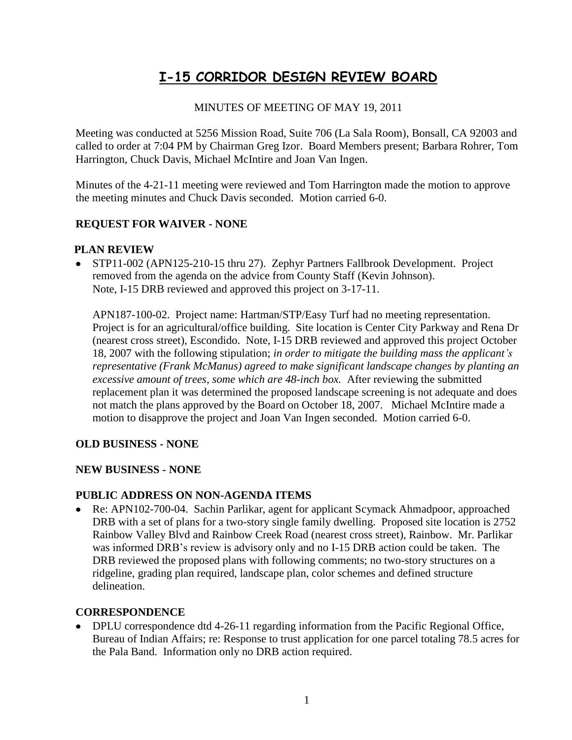# **I-15 CORRIDOR DESIGN REVIEW BOARD**

# MINUTES OF MEETING OF MAY 19, 2011

Meeting was conducted at 5256 Mission Road, Suite 706 (La Sala Room), Bonsall, CA 92003 and called to order at 7:04 PM by Chairman Greg Izor. Board Members present; Barbara Rohrer, Tom Harrington, Chuck Davis, Michael McIntire and Joan Van Ingen.

Minutes of the 4-21-11 meeting were reviewed and Tom Harrington made the motion to approve the meeting minutes and Chuck Davis seconded. Motion carried 6-0.

# **REQUEST FOR WAIVER - NONE**

#### **PLAN REVIEW**

• STP11-002 (APN125-210-15 thru 27). Zephyr Partners Fallbrook Development. Project removed from the agenda on the advice from County Staff (Kevin Johnson). Note, I-15 DRB reviewed and approved this project on 3-17-11.

APN187-100-02. Project name: Hartman/STP/Easy Turf had no meeting representation. Project is for an agricultural/office building. Site location is Center City Parkway and Rena Dr (nearest cross street), Escondido. Note, I-15 DRB reviewed and approved this project October 18, 2007 with the following stipulation; *in order to mitigate the building mass the applicant's representative (Frank McManus) agreed to make significant landscape changes by planting an excessive amount of trees, some which are 48-inch box.* After reviewing the submitted replacement plan it was determined the proposed landscape screening is not adequate and does not match the plans approved by the Board on October 18, 2007. Michael McIntire made a motion to disapprove the project and Joan Van Ingen seconded. Motion carried 6-0.

#### **OLD BUSINESS - NONE**

#### **NEW BUSINESS - NONE**

#### **PUBLIC ADDRESS ON NON-AGENDA ITEMS**

Re: APN102-700-04. Sachin Parlikar, agent for applicant Scymack Ahmadpoor, approached DRB with a set of plans for a two-story single family dwelling. Proposed site location is 2752 Rainbow Valley Blvd and Rainbow Creek Road (nearest cross street), Rainbow. Mr. Parlikar was informed DRB's review is advisory only and no I-15 DRB action could be taken. The DRB reviewed the proposed plans with following comments; no two-story structures on a ridgeline, grading plan required, landscape plan, color schemes and defined structure delineation.

#### **CORRESPONDENCE**

• DPLU correspondence dtd 4-26-11 regarding information from the Pacific Regional Office, Bureau of Indian Affairs; re: Response to trust application for one parcel totaling 78.5 acres for the Pala Band. Information only no DRB action required.